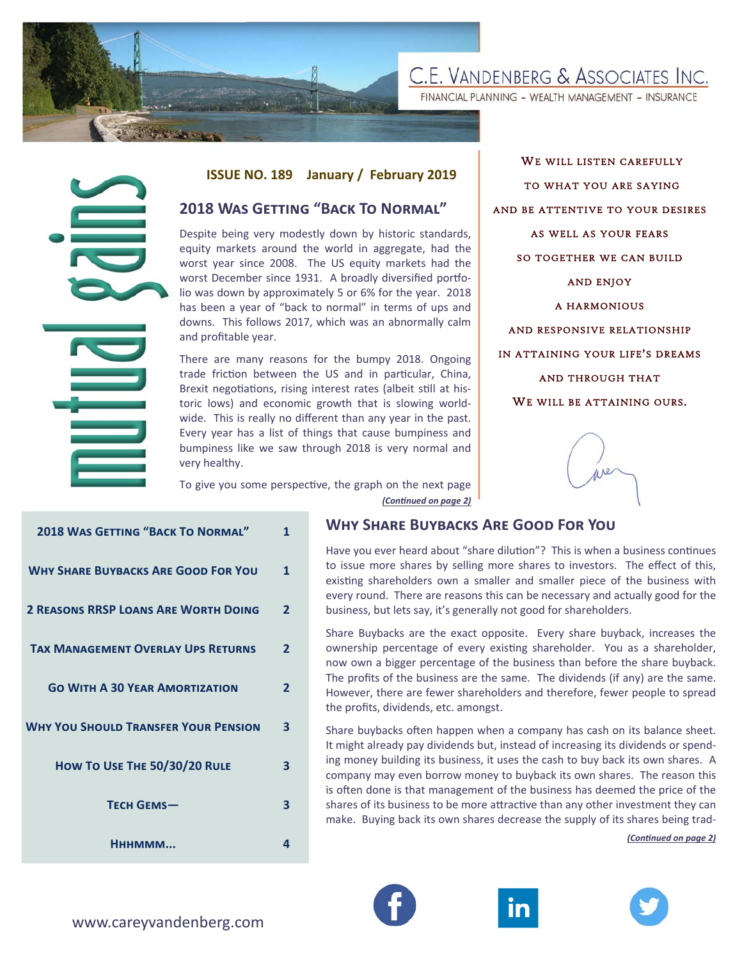

FINANCIAL PLANNING - WEALTH MANAGEMENT - INSURANCE

#### **ISSUE NO. 189 January / February 2019**

## **2018 WAS GETTING "BACK TO NORMAL"**

WE WILL LISTEN CAREFULLY TO WHAT YOU ARE SAYING AND BE ATTENTIVE TO YOUR DESIRES AS WELL AS YOUR FEARS SO TOGETHER WE CAN BUILD AND ENJOY A HARMONIOUS AND RESPONSIVE RELATIONSHIP IN ATTAINING YOUR LIFE'S DREAMS AND THROUGH THAT WE WILL BE ATTAINING OURS.

|                                                                                                                                                                                                                                                                                                                                                                                                                                               | <b>ISSUE NO. 189</b>                                                                                                                                                                                                                                                                                                                                                                                                                              |                   | January / February 2019                                                                                                                                              |
|-----------------------------------------------------------------------------------------------------------------------------------------------------------------------------------------------------------------------------------------------------------------------------------------------------------------------------------------------------------------------------------------------------------------------------------------------|---------------------------------------------------------------------------------------------------------------------------------------------------------------------------------------------------------------------------------------------------------------------------------------------------------------------------------------------------------------------------------------------------------------------------------------------------|-------------------|----------------------------------------------------------------------------------------------------------------------------------------------------------------------|
|                                                                                                                                                                                                                                                                                                                                                                                                                                               | <b>2018 WAS GETTING "BACK TO NORMAL"</b>                                                                                                                                                                                                                                                                                                                                                                                                          |                   |                                                                                                                                                                      |
| Despite being very modestly down by historic standards,<br>equity markets around the world in aggregate, had the<br>worst year since 2008. The US equity markets had the<br>worst December since 1931. A broadly diversified portfo-<br>lio was down by approximately 5 or 6% for the year. 2018<br>has been a year of "back to normal" in terms of ups and<br>downs. This follows 2017, which was an abnormally calm<br>and profitable year. |                                                                                                                                                                                                                                                                                                                                                                                                                                                   |                   |                                                                                                                                                                      |
|                                                                                                                                                                                                                                                                                                                                                                                                                                               | There are many reasons for the bumpy 2018. Ongoing<br>trade friction between the US and in particular, China,<br>Brexit negotiations, rising interest rates (albeit still at his-<br>toric lows) and economic growth that is slowing world-<br>wide. This is really no different than any year in the past.<br>Every year has a list of things that cause bumpiness and<br>bumpiness like we saw through 2018 is very normal and<br>very healthy. |                   |                                                                                                                                                                      |
|                                                                                                                                                                                                                                                                                                                                                                                                                                               | To give you some perspective, the graph on the next page<br>(Continued on page 2)                                                                                                                                                                                                                                                                                                                                                                 |                   |                                                                                                                                                                      |
| <b>2018 WAS GETTING "BACK TO NORMAL"</b>                                                                                                                                                                                                                                                                                                                                                                                                      |                                                                                                                                                                                                                                                                                                                                                                                                                                                   | $\mathbf{1}$      | <b>WHY SHARE BUYBACKS</b>                                                                                                                                            |
| <b>WHY SHARE BUYBACKS ARE GOOD FOR YOU</b><br><b>2 REASONS RRSP LOANS ARE WORTH DOING</b>                                                                                                                                                                                                                                                                                                                                                     |                                                                                                                                                                                                                                                                                                                                                                                                                                                   | 1<br>$\mathbf{2}$ | Have you ever heard about "sh<br>to issue more shares by sellir<br>existing shareholders own a<br>every round. There are reasor<br>business, but lets say, it's gene |
| <b>TAX MANAGEMENT OVERLAY UPS RETURNS</b>                                                                                                                                                                                                                                                                                                                                                                                                     |                                                                                                                                                                                                                                                                                                                                                                                                                                                   | $\overline{2}$    | Share Buybacks are the exact<br>ownership percentage of eve<br>now own a bigger percentage<br>The profits of the business are                                        |
| <b>GO WITH A 30 YEAR AMORTIZATION</b>                                                                                                                                                                                                                                                                                                                                                                                                         |                                                                                                                                                                                                                                                                                                                                                                                                                                                   | 2                 | However, there are fewer sha<br>the profits, dividends, etc. amo                                                                                                     |
| <b>WHY YOU SHOULD TRANSFER YOUR PENSION</b><br>HOW TO USE THE 50/30/20 RULE                                                                                                                                                                                                                                                                                                                                                                   |                                                                                                                                                                                                                                                                                                                                                                                                                                                   | 3                 | Share buybacks often happen<br>It might already pay dividends                                                                                                        |
|                                                                                                                                                                                                                                                                                                                                                                                                                                               |                                                                                                                                                                                                                                                                                                                                                                                                                                                   | 3                 | ing money building its busines<br>company may even borrow m<br>is often done is that managem                                                                         |
| <b>TECH GEMS-</b>                                                                                                                                                                                                                                                                                                                                                                                                                             |                                                                                                                                                                                                                                                                                                                                                                                                                                                   | 3                 | shares of its business to be mo<br>make. Buying back its own sha                                                                                                     |
| Нннммм                                                                                                                                                                                                                                                                                                                                                                                                                                        |                                                                                                                                                                                                                                                                                                                                                                                                                                                   | 4                 |                                                                                                                                                                      |
| www.careyvandenberg.com                                                                                                                                                                                                                                                                                                                                                                                                                       |                                                                                                                                                                                                                                                                                                                                                                                                                                                   |                   |                                                                                                                                                                      |

### **WHY SHARE BUYBACKS ARE GOOD FOR YOU**

Have you ever heard about "share dilution"? This is when a business continues to issue more shares by selling more shares to investors. The effect of this, existing shareholders own a smaller and smaller piece of the business with every round. There are reasons this can be necessary and actually good for the business, but lets say, it's generally not good for shareholders.

Share Buybacks are the exact opposite. Every share buyback, increases the ownership percentage of every existing shareholder. You as a shareholder, now own a bigger percentage of the business than before the share buyback. The profits of the business are the same. The dividends (if any) are the same. However, there are fewer shareholders and therefore, fewer people to spread the profits, dividends, etc. amongst.

Share buybacks often happen when a company has cash on its balance sheet. It might already pay dividends but, instead of increasing its dividends or spending money building its business, it uses the cash to buy back its own shares. A company may even borrow money to buyback its own shares. The reason this is often done is that management of the business has deemed the price of the shares of its business to be more attractive than any other investment they can make. Buying back its own shares decrease the supply of its shares being trad-

*(ConƟnued on page 2)* 





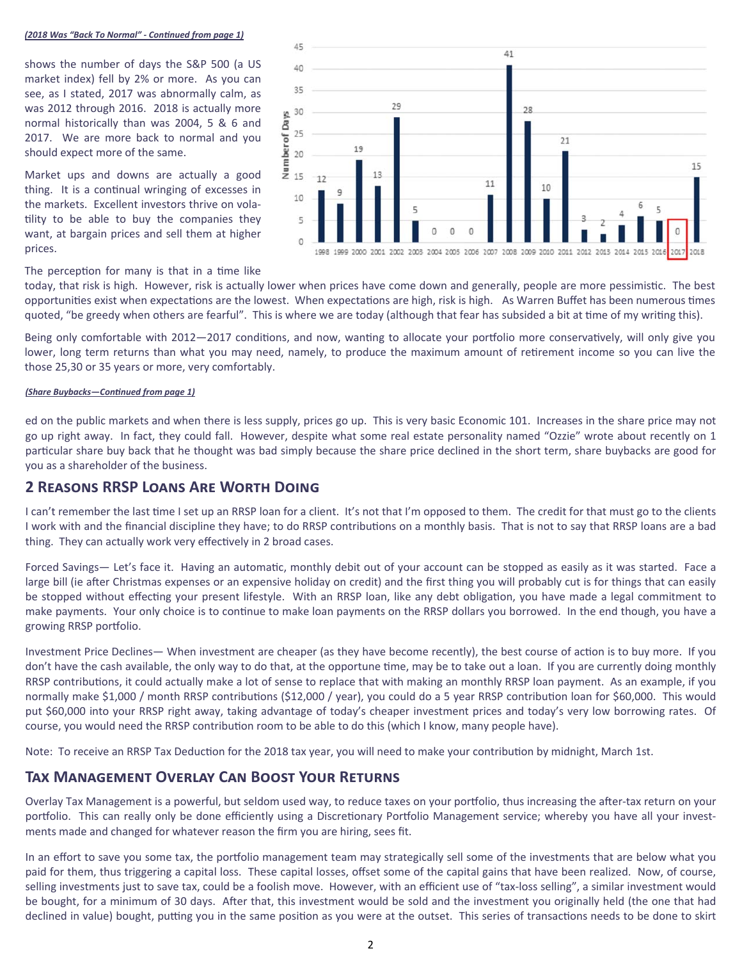#### (2018 Was "Back To Normal" - Continued from page 1)

shows the number of days the S&P 500 (a US market index) fell by 2% or more. As you can see, as I stated, 2017 was abnormally calm, as was 2012 through 2016. 2018 is actually more normal historically than was 2004, 5 & 6 and 2017. We are more back to normal and you should expect more of the same.

Market ups and downs are actually a good thing. It is a continual wringing of excesses in the markets. Excellent investors thrive on volatility to be able to buy the companies they want, at bargain prices and sell them at higher prices.



#### The perception for many is that in a time like

today, that risk is high. However, risk is actually lower when prices have come down and generally, people are more pessimistic. The best opportunities exist when expectations are the lowest. When expectations are high, risk is high. As Warren Buffet has been numerous times quoted, "be greedy when others are fearful". This is where we are today (although that fear has subsided a bit at time of my writing this).

Being only comfortable with 2012-2017 conditions, and now, wanting to allocate your portfolio more conservatively, will only give you lower, long term returns than what you may need, namely, to produce the maximum amount of retirement income so you can live the those 25,30 or 35 years or more, very comfortably.

#### (Share Buybacks-Continued from page 1)

ed on the public markets and when there is less supply, prices go up. This is very basic Economic 101. Increases in the share price may not go up right away. In fact, they could fall. However, despite what some real estate personality named "Ozzie" wrote about recently on 1 particular share buy back that he thought was bad simply because the share price declined in the short term, share buybacks are good for you as a shareholder of the business.

#### **2 REASONS RRSP LOANS ARE WORTH DOING**

I can't remember the last time I set up an RRSP loan for a client. It's not that I'm opposed to them. The credit for that must go to the clients I work with and the financial discipline they have; to do RRSP contributions on a monthly basis. That is not to say that RRSP loans are a bad thing. They can actually work very effectively in 2 broad cases.

Forced Savings— Let's face it. Having an automatic, monthly debit out of your account can be stopped as easily as it was started. Face a large bill (ie after Christmas expenses or an expensive holiday on credit) and the first thing you will probably cut is for things that can easily be stopped without effecting your present lifestyle. With an RRSP loan, like any debt obligation, you have made a legal commitment to make payments. Your only choice is to continue to make loan payments on the RRSP dollars you borrowed. In the end though, you have a growing RRSP portfolio.

Investment Price Declines— When investment are cheaper (as they have become recently), the best course of action is to buy more. If you don't have the cash available, the only way to do that, at the opportune time, may be to take out a loan. If you are currently doing monthly RRSP contributions, it could actually make a lot of sense to replace that with making an monthly RRSP loan payment. As an example, if you normally make \$1,000 / month RRSP contributions (\$12,000 / year), you could do a 5 year RRSP contribution loan for \$60,000. This would put \$60,000 into your RRSP right away, taking advantage of today's cheaper investment prices and today's very low borrowing rates. Of course, you would need the RRSP contribution room to be able to do this (which I know, many people have).

Note: To receive an RRSP Tax Deduction for the 2018 tax year, you will need to make your contribution by midnight, March 1st.

## TAX MANAGEMENT OVERLAY CAN BOOST YOUR RETURNS

Overlay Tax Management is a powerful, but seldom used way, to reduce taxes on your portfolio, thus increasing the after-tax return on your portfolio. This can really only be done efficiently using a Discretionary Portfolio Management service; whereby you have all your investments made and changed for whatever reason the firm you are hiring, sees fit.

In an effort to save you some tax, the portfolio management team may strategically sell some of the investments that are below what you paid for them, thus triggering a capital loss. These capital losses, offset some of the capital gains that have been realized. Now, of course, selling investments just to save tax, could be a foolish move. However, with an efficient use of "tax-loss selling", a similar investment would be bought, for a minimum of 30 days. After that, this investment would be sold and the investment you originally held (the one that had declined in value) bought, putting you in the same position as you were at the outset. This series of transactions needs to be done to skirt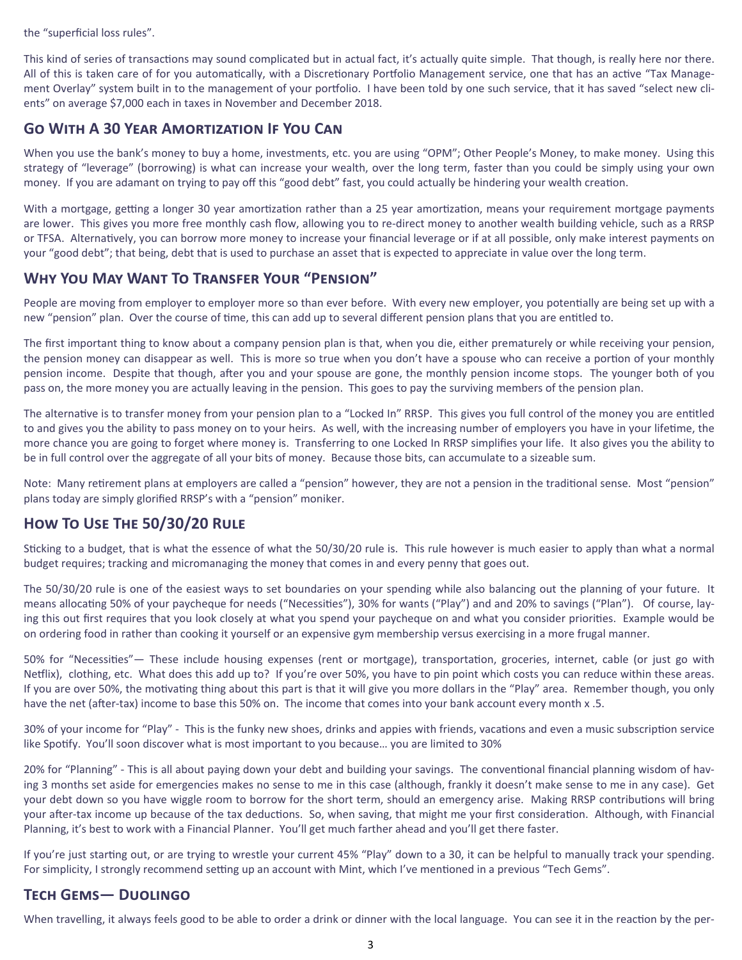the "superficial loss rules".

This kind of series of transactions may sound complicated but in actual fact, it's actually quite simple. That though, is really here nor there. All of this is taken care of for you automatically, with a Discretionary Portfolio Management service, one that has an active "Tax Management Overlay" system built in to the management of your portfolio. I have been told by one such service, that it has saved "select new clients" on average \$7,000 each in taxes in November and December 2018.

# **GO WITH A 30 YEAR AMORTIZATION IF YOU CAN**

When you use the bank's money to buy a home, investments, etc. you are using "OPM"; Other People's Money, to make money. Using this strategy of "leverage" (borrowing) is what can increase your wealth, over the long term, faster than you could be simply using your own money. If you are adamant on trying to pay off this "good debt" fast, you could actually be hindering your wealth creation.

With a mortgage, getting a longer 30 year amortization rather than a 25 year amortization, means your requirement mortgage payments are lower. This gives you more free monthly cash flow, allowing you to re-direct money to another wealth building vehicle, such as a RRSP or TFSA. Alternatively, you can borrow more money to increase your financial leverage or if at all possible, only make interest payments on your "good debt"; that being, debt that is used to purchase an asset that is expected to appreciate in value over the long term.

## **WHY YOU MAY WANT TO TRANSFER YOUR "PENSION"**

People are moving from employer to employer more so than ever before. With every new employer, you potentially are being set up with a new "pension" plan. Over the course of time, this can add up to several different pension plans that you are entitled to.

The first important thing to know about a company pension plan is that, when you die, either prematurely or while receiving your pension, the pension money can disappear as well. This is more so true when you don't have a spouse who can receive a portion of your monthly pension income. Despite that though, after you and your spouse are gone, the monthly pension income stops. The younger both of you pass on, the more money you are actually leaving in the pension. This goes to pay the surviving members of the pension plan.

The alternative is to transfer money from your pension plan to a "Locked In" RRSP. This gives you full control of the money you are entitled to and gives you the ability to pass money on to your heirs. As well, with the increasing number of employers you have in your lifetime, the more chance you are going to forget where money is. Transferring to one Locked In RRSP simplifies your life. It also gives you the ability to be in full control over the aggregate of all your bits of money. Because those bits, can accumulate to a sizeable sum.

Note: Many retirement plans at employers are called a "pension" however, they are not a pension in the traditional sense. Most "pension" plans today are simply glorified RRSP's with a "pension" moniker.

# HOW TO USE THE 50/30/20 RULE

Sticking to a budget, that is what the essence of what the 50/30/20 rule is. This rule however is much easier to apply than what a normal budget requires; tracking and micromanaging the money that comes in and every penny that goes out.

The 50/30/20 rule is one of the easiest ways to set boundaries on your spending while also balancing out the planning of your future. It means allocating 50% of your paycheque for needs ("Necessities"), 30% for wants ("Play") and and 20% to savings ("Plan"). Of course, laying this out first requires that you look closely at what you spend your paycheque on and what you consider priorities. Example would be on ordering food in rather than cooking it yourself or an expensive gym membership versus exercising in a more frugal manner.

50% for "Necessities"— These include housing expenses (rent or mortgage), transportation, groceries, internet, cable (or just go with Netflix), clothing, etc. What does this add up to? If you're over 50%, you have to pin point which costs you can reduce within these areas. If you are over 50%, the motivating thing about this part is that it will give you more dollars in the "Play" area. Remember though, you only have the net (after-tax) income to base this 50% on. The income that comes into your bank account every month x .5.

30% of your income for "Play" - This is the funky new shoes, drinks and appies with friends, vacations and even a music subscription service like Spotify. You'll soon discover what is most important to you because... you are limited to 30%

20% for "Planning" - This is all about paying down your debt and building your savings. The conventional financial planning wisdom of having 3 months set aside for emergencies makes no sense to me in this case (although, frankly it doesn't make sense to me in any case). Get your debt down so you have wiggle room to borrow for the short term, should an emergency arise. Making RRSP contributions will bring your after-tax income up because of the tax deductions. So, when saving, that might me your first consideration. Although, with Financial Planning, it's best to work with a Financial Planner. You'll get much farther ahead and you'll get there faster.

If you're just starting out, or are trying to wrestle your current 45% "Play" down to a 30, it can be helpful to manually track your spending. For simplicity, I strongly recommend setting up an account with Mint, which I've mentioned in a previous "Tech Gems".

## **TECH GEMS- DUOLINGO**

When travelling, it always feels good to be able to order a drink or dinner with the local language. You can see it in the reaction by the per-